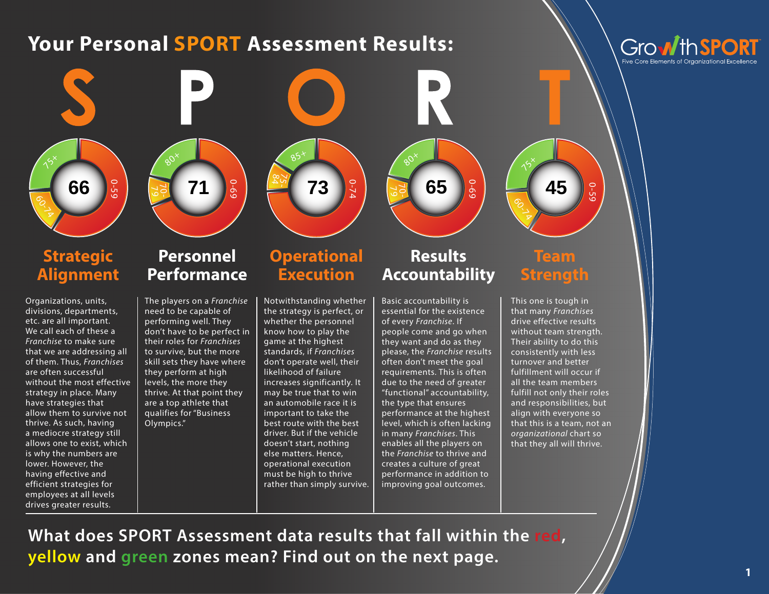# **Your Personal SPORT Assessment Results:**

Growth SP





### **Strategic Alignment**

Organizations, units, divisions, departments, etc. are all important. We call each of these a *Franchise* to make sure that we are addressing all of them. Thus, *Franchises* are often successful without the most effective strategy in place. Many have strategies that allow them to survive not thrive. As such, having a mediocre strategy still allows one to exist, which is why the numbers are lower. However, the having effective and efficient strategies for employees at all levels drives greater results.

#### **Personnel Performance**

The players on a *Franchise* need to be capable of performing well. They don't have to be perfect in their roles for *Franchises* to survive, but the more skill sets they have where they perform at high levels, the more they thrive. At that point they are a top athlete that qualifies for "Business Olympics."

### **Operational Execution**

84  $\gtrsim$   $85^{+}$ 

0-74

70- 79

 $60^{x}$ 

Notwithstanding whether the strategy is perfect, or whether the personnel know how to play the game at the highest standards, if *Franchises* don't operate well, their likelihood of failure increases significantly. It may be true that to win an automobile race it is important to take the best route with the best driver. But if the vehicle doesn't start, nothing else matters. Hence, operational execution must be high to thrive rather than simply survive.

## **Results Accountability**

0-69

Basic accountability is essential for the existence of every *Franchise*. If people come and go when they want and do as they please, the *Franchise* results often don't meet the goal requirements. This is often due to the need of greater "functional" accountability, the type that ensures performance at the highest level, which is often lacking in many *Franchises*. This enables all the players on the *Franchise* to thrive and creates a culture of great performance in addition to improving goal outcomes. **Example 2 Personnel**<br> **Example 2 Personnel**<br> **Performance** *Execution* **<b>Results** Team<br> **Performance** *Execution*<br> **Results Execution**<br> **Results Execution**<br> **Results Execution**<br> **Results Execution**<br> **Results**

**Team Strength**

**991** 

 $\gamma^2$ 

This one is tough in that many *Franchises* drive effective results without team strength. Their ability to do this consistently with less turnover and better fulfillment will occur if all the team members fulfill not only their roles and responsibilities, but align with everyone so that this is a team, not an *organizational* chart so that they all will thrive.

0-59

**What does SPORT Assessment data results that fall within the red,**